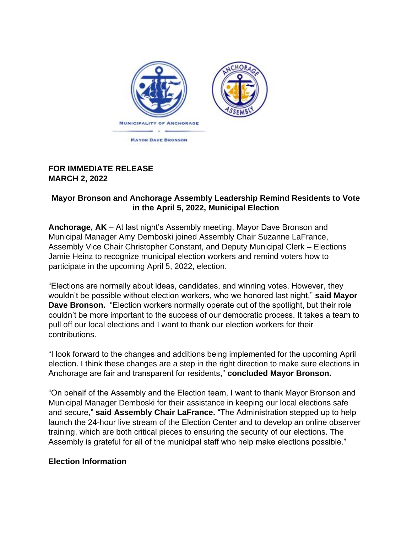

## **FOR IMMEDIATE RELEASE MARCH 2, 2022**

## **Mayor Bronson and Anchorage Assembly Leadership Remind Residents to Vote in the April 5, 2022, Municipal Election**

**Anchorage, AK** – At last night's Assembly meeting, Mayor Dave Bronson and Municipal Manager Amy Demboski joined Assembly Chair Suzanne LaFrance, Assembly Vice Chair Christopher Constant, and Deputy Municipal Clerk – Elections Jamie Heinz to recognize municipal election workers and remind voters how to participate in the upcoming April 5, 2022, election.

"Elections are normally about ideas, candidates, and winning votes. However, they wouldn't be possible without election workers, who we honored last night," **said Mayor Dave Bronson.** "Election workers normally operate out of the spotlight, but their role couldn't be more important to the success of our democratic process. It takes a team to pull off our local elections and I want to thank our election workers for their contributions.

"I look forward to the changes and additions being implemented for the upcoming April election. I think these changes are a step in the right direction to make sure elections in Anchorage are fair and transparent for residents," **concluded Mayor Bronson.**

"On behalf of the Assembly and the Election team, I want to thank Mayor Bronson and Municipal Manager Demboski for their assistance in keeping our local elections safe and secure," **said Assembly Chair LaFrance.** "The Administration stepped up to help launch the 24-hour live stream of the Election Center and to develop an online observer training, which are both critical pieces to ensuring the security of our elections. The Assembly is grateful for all of the municipal staff who help make elections possible."

## **Election Information**